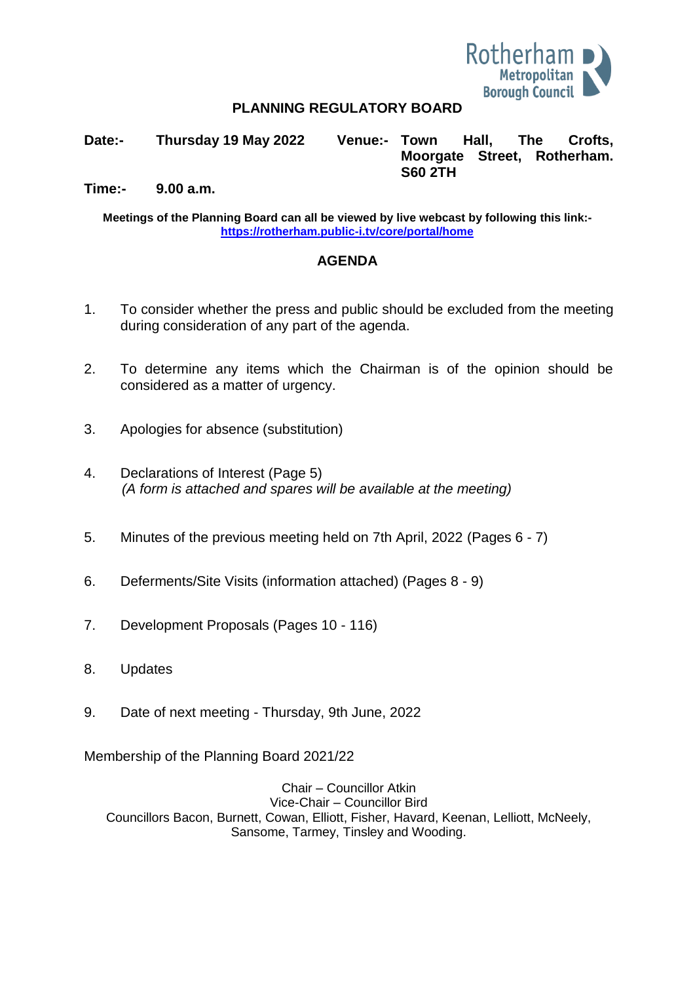

#### **PLANNING REGULATORY BOARD**

**Date:- Thursday 19 May 2022 Venue:- Town Hall, The Crofts, Moorgate Street, Rotherham. S60 2TH**

**Time:- 9.00 a.m.**

**Meetings of the Planning Board can all be viewed by live webcast by following this link: <https://rotherham.public-i.tv/core/portal/home>**

#### **AGENDA**

- 1. To consider whether the press and public should be excluded from the meeting during consideration of any part of the agenda.
- 2. To determine any items which the Chairman is of the opinion should be considered as a matter of urgency.
- 3. Apologies for absence (substitution)
- 4. Declarations of Interest (Page 5) *(A form is attached and spares will be available at the meeting)*
- 5. Minutes of the previous meeting held on 7th April, 2022 (Pages 6 7)
- 6. Deferments/Site Visits (information attached) (Pages 8 9)
- 7. Development Proposals (Pages 10 116)
- 8. Updates
- 9. Date of next meeting Thursday, 9th June, 2022

Membership of the Planning Board 2021/22

Chair – Councillor Atkin Vice-Chair – Councillor Bird Councillors Bacon, Burnett, Cowan, Elliott, Fisher, Havard, Keenan, Lelliott, McNeely, Sansome, Tarmey, Tinsley and Wooding.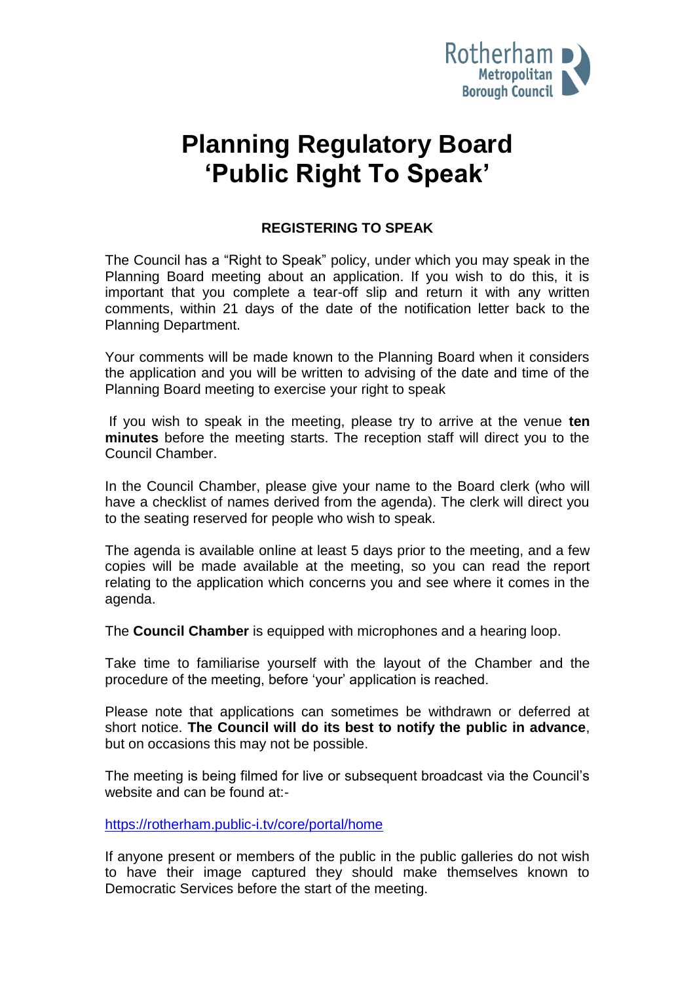

# **Planning Regulatory Board 'Public Right To Speak'**

## **REGISTERING TO SPEAK**

The Council has a "Right to Speak" policy, under which you may speak in the Planning Board meeting about an application. If you wish to do this, it is important that you complete a tear-off slip and return it with any written comments, within 21 days of the date of the notification letter back to the Planning Department.

Your comments will be made known to the Planning Board when it considers the application and you will be written to advising of the date and time of the Planning Board meeting to exercise your right to speak

If you wish to speak in the meeting, please try to arrive at the venue **ten minutes** before the meeting starts. The reception staff will direct you to the Council Chamber.

In the Council Chamber, please give your name to the Board clerk (who will have a checklist of names derived from the agenda). The clerk will direct you to the seating reserved for people who wish to speak.

The agenda is available online at least 5 days prior to the meeting, and a few copies will be made available at the meeting, so you can read the report relating to the application which concerns you and see where it comes in the agenda.

The **Council Chamber** is equipped with microphones and a hearing loop.

Take time to familiarise yourself with the layout of the Chamber and the procedure of the meeting, before 'your' application is reached.

Please note that applications can sometimes be withdrawn or deferred at short notice. **The Council will do its best to notify the public in advance**, but on occasions this may not be possible.

The meeting is being filmed for live or subsequent broadcast via the Council's website and can be found at:-

<https://rotherham.public-i.tv/core/portal/home>

If anyone present or members of the public in the public galleries do not wish to have their image captured they should make themselves known to Democratic Services before the start of the meeting.